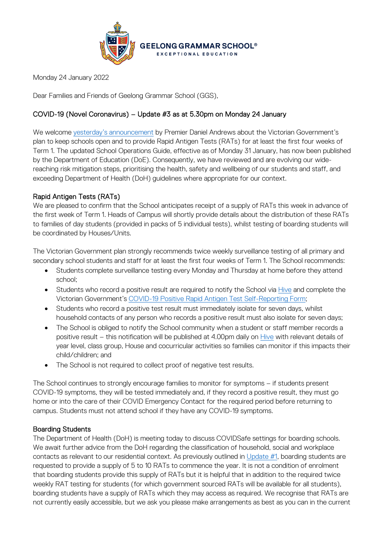

Monday 24 January 2022

Dear Families and Friends of Geelong Grammar School (GGS),

## COVID-19 (Novel Coronavirus) – Update #3 as at 5.30pm on Monday 24 January

We welcome [yesterday's announcement](https://www.premier.vic.gov.au/keeping-education-open-and-safe-2022) by Premier Daniel Andrews about the Victorian Government's plan to keep schools open and to provide Rapid Antigen Tests (RATs) for at least the first four weeks of Term 1. The updated School Operations Guide, effective as of Monday 31 January, has now been published by the Department of Education (DoE). Consequently, we have reviewed and are evolving our widereaching risk mitigation steps, prioritising the health, safety and wellbeing of our students and staff, and exceeding Department of Health (DoH) guidelines where appropriate for our context.

## Rapid Antigen Tests (RATs)

We are pleased to confirm that the School anticipates receipt of a supply of RATs this week in advance of the first week of Term 1. Heads of Campus will shortly provide details about the distribution of these RATs to families of day students (provided in packs of 5 individual tests), whilst testing of boarding students will be coordinated by Houses/Units.

The Victorian Government plan strongly recommends twice weekly surveillance testing of all primary and secondary school students and staff for at least the first four weeks of Term 1. The School recommends:

- Students complete surveillance testing every Monday and Thursday at home before they attend school;
- Students who record a positive result are required to notify the School via [Hive](https://hive.ggs.vic.edu.au/) and complete the Victorian Government's [COVID-19 Positive Rapid Antigen Test Self-Reporting Form;](https://dhvicgovau.powerappsportals.com/rapid-antigen-test/)
- Students who record a positive test result must immediately isolate for seven days, whilst household contacts of any person who records a positive result must also isolate for seven days;
- The School is obliged to notify the School community when a student or staff member records a positive result – this notification will be published at 4.00pm daily on [Hive](https://hive.ggs.vic.edu.au/) with relevant details of year level, class group, House and cocurricular activities so families can monitor if this impacts their child/children; and
- The School is not required to collect proof of negative test results.

The School continues to strongly encourage families to monitor for symptoms – if students present COVID-19 symptoms, they will be tested immediately and, if they record a positive result, they must go home or into the care of their COVID Emergency Contact for the required period before returning to campus. Students must not attend school if they have any COVID-19 symptoms.

## Boarding Students

The Department of Health (DoH) is meeting today to discuss COVIDSafe settings for boarding schools. We await further advice from the DoH regarding the classification of household, social and workplace contacts as relevant to our residential context. As previously outlined in [Update #1,](https://www.ggs.vic.edu.au/wp-content/uploads/2021/12/Coronavirus-Update-65_131221.pdf) boarding students are requested to provide a supply of 5 to 10 RATs to commence the year. It is not a condition of enrolment that boarding students provide this supply of RATs but it is helpful that in addition to the required twice weekly RAT testing for students (for which government sourced RATs will be available for all students), boarding students have a supply of RATs which they may access as required. We recognise that RATs are not currently easily accessible, but we ask you please make arrangements as best as you can in the current